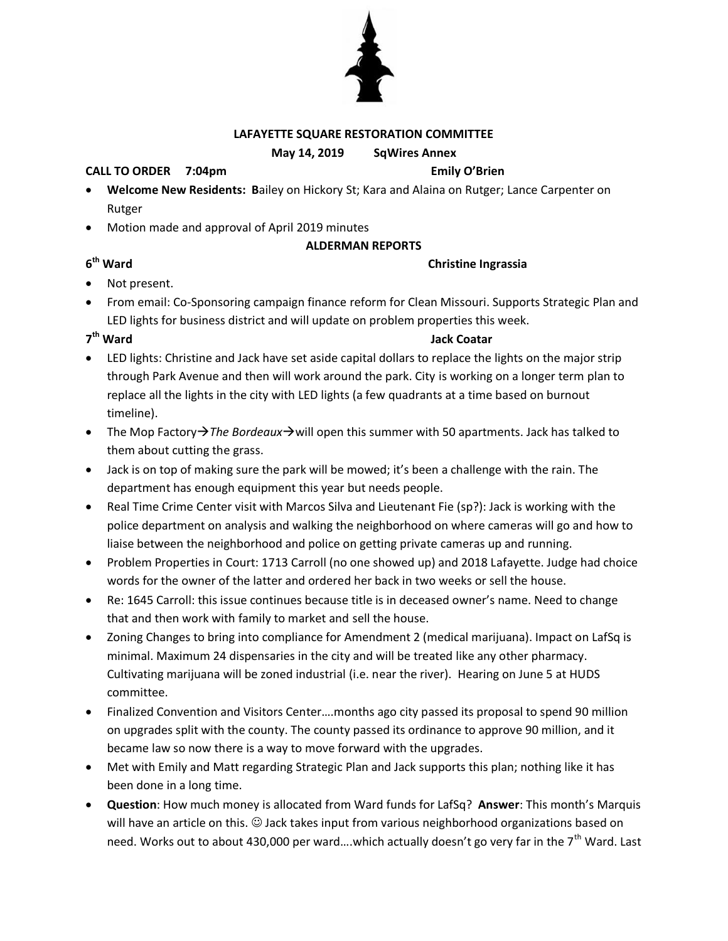#### **LAFAYETTE SQUARE RESTORATION COMMITTEE**

#### **May 14, 2019 SqWires Annex**

#### **CALL TO ORDER 7:04pm Emily O'Brien**

- **Welcome New Residents: B**ailey on Hickory St; Kara and Alaina on Rutger; Lance Carpenter on Rutger
- Motion made and approval of April 2019 minutes

### **ALDERMAN REPORTS**

### **Christine Ingrassia**

- Not present.
- From email: Co-Sponsoring campaign finance reform for Clean Missouri. Supports Strategic Plan and LED lights for business district and will update on problem properties this week.

### 7<sup>th</sup> Ward

**6**

### **Jack Coatar**

- LED lights: Christine and Jack have set aside capital dollars to replace the lights on the major strip through Park Avenue and then will work around the park. City is working on a longer term plan to replace all the lights in the city with LED lights (a few quadrants at a time based on burnout timeline).
- The Mop Factory  $\rightarrow$  The Bordeaux  $\rightarrow$  will open this summer with 50 apartments. Jack has talked to them about cutting the grass.
- Jack is on top of making sure the park will be mowed; it's been a challenge with the rain. The department has enough equipment this year but needs people.
- Real Time Crime Center visit with Marcos Silva and Lieutenant Fie (sp?): Jack is working with the police department on analysis and walking the neighborhood on where cameras will go and how to liaise between the neighborhood and police on getting private cameras up and running.
- Problem Properties in Court: 1713 Carroll (no one showed up) and 2018 Lafayette. Judge had choice words for the owner of the latter and ordered her back in two weeks or sell the house.
- Re: 1645 Carroll: this issue continues because title is in deceased owner's name. Need to change that and then work with family to market and sell the house.
- Zoning Changes to bring into compliance for Amendment 2 (medical marijuana). Impact on LafSq is minimal. Maximum 24 dispensaries in the city and will be treated like any other pharmacy. Cultivating marijuana will be zoned industrial (i.e. near the river). Hearing on June 5 at HUDS committee.
- Finalized Convention and Visitors Center….months ago city passed its proposal to spend 90 million on upgrades split with the county. The county passed its ordinance to approve 90 million, and it became law so now there is a way to move forward with the upgrades.
- Met with Emily and Matt regarding Strategic Plan and Jack supports this plan; nothing like it has been done in a long time.
- **Question**: How much money is allocated from Ward funds for LafSq? **Answer**: This month's Marquis will have an article on this.  $\odot$  Jack takes input from various neighborhood organizations based on need. Works out to about 430,000 per ward....which actually doesn't go very far in the  $7<sup>th</sup>$  Ward. Last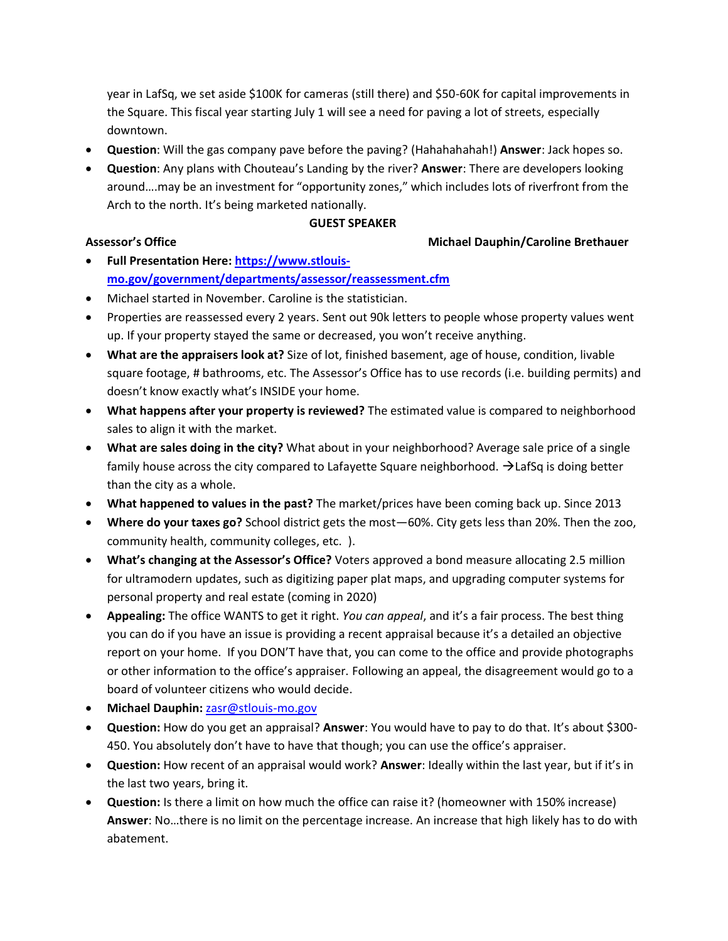year in LafSq, we set aside \$100K for cameras (still there) and \$50-60K for capital improvements in the Square. This fiscal year starting July 1 will see a need for paving a lot of streets, especially downtown.

- **Question**: Will the gas company pave before the paving? (Hahahahahah!) **Answer**: Jack hopes so.
- **Question**: Any plans with Chouteau's Landing by the river? **Answer**: There are developers looking around….may be an investment for "opportunity zones," which includes lots of riverfront from the Arch to the north. It's being marketed nationally.

#### **GUEST SPEAKER**

### **Assessor's Office Michael Dauphin/Caroline Brethauer**

- **Full Presentation Here[: https://www.stlouis](https://www.stlouis-mo.gov/government/departments/assessor/reassessment.cfm)[mo.gov/government/departments/assessor/reassessment.cfm](https://www.stlouis-mo.gov/government/departments/assessor/reassessment.cfm)**
- Michael started in November. Caroline is the statistician.
- Properties are reassessed every 2 years. Sent out 90k letters to people whose property values went up. If your property stayed the same or decreased, you won't receive anything.
- **What are the appraisers look at?** Size of lot, finished basement, age of house, condition, livable square footage, # bathrooms, etc. The Assessor's Office has to use records (i.e. building permits) and doesn't know exactly what's INSIDE your home.
- **What happens after your property is reviewed?** The estimated value is compared to neighborhood sales to align it with the market.
- **What are sales doing in the city?** What about in your neighborhood? Average sale price of a single family house across the city compared to Lafayette Square neighborhood.  $\rightarrow$  LafSq is doing better than the city as a whole.
- **What happened to values in the past?** The market/prices have been coming back up. Since 2013
- **Where do your taxes go?** School district gets the most—60%. City gets less than 20%. Then the zoo, community health, community colleges, etc. ).
- **What's changing at the Assessor's Office?** Voters approved a bond measure allocating 2.5 million for ultramodern updates, such as digitizing paper plat maps, and upgrading computer systems for personal property and real estate (coming in 2020)
- **Appealing:** The office WANTS to get it right. *You can appeal*, and it's a fair process. The best thing you can do if you have an issue is providing a recent appraisal because it's a detailed an objective report on your home. If you DON'T have that, you can come to the office and provide photographs or other information to the office's appraiser. Following an appeal, the disagreement would go to a board of volunteer citizens who would decide.
- **Michael Dauphin:** [zasr@stlouis-mo.gov](mailto:zasr@stlouis-mo.gov)
- **Question:** How do you get an appraisal? **Answer**: You would have to pay to do that. It's about \$300- 450. You absolutely don't have to have that though; you can use the office's appraiser.
- **Question:** How recent of an appraisal would work? **Answer**: Ideally within the last year, but if it's in the last two years, bring it.
- **Question:** Is there a limit on how much the office can raise it? (homeowner with 150% increase) **Answer**: No…there is no limit on the percentage increase. An increase that high likely has to do with abatement.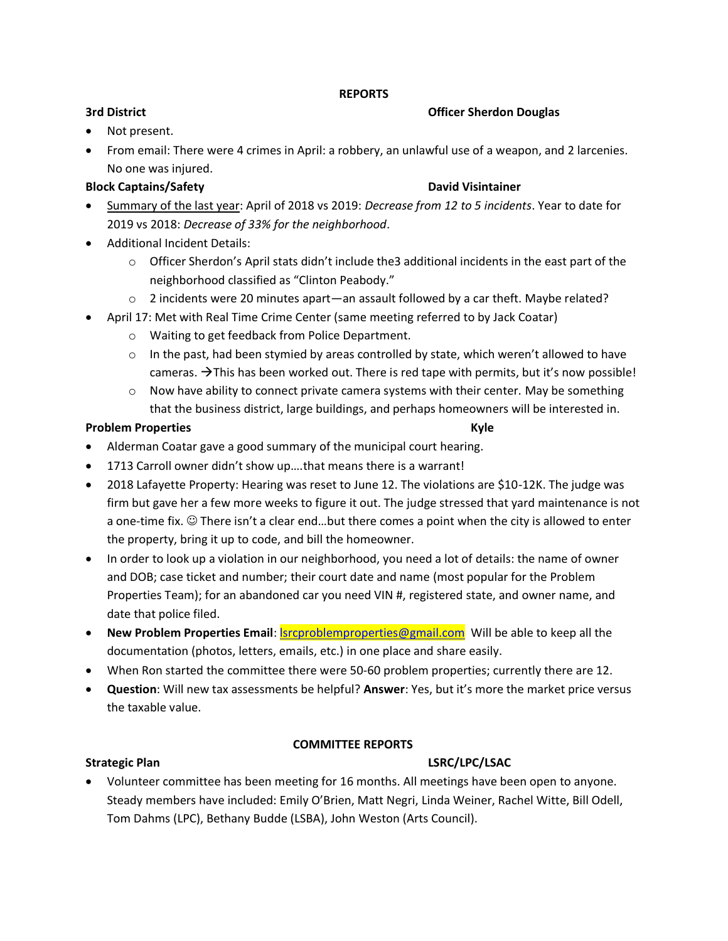### **REPORTS**

### **3rd District Officer Sherdon Douglas**

- Not present.
- From email: There were 4 crimes in April: a robbery, an unlawful use of a weapon, and 2 larcenies. No one was injured.

## **Block Captains/Safety David Visintainer**

- Summary of the last year: April of 2018 vs 2019: *Decrease from 12 to 5 incidents*. Year to date for 2019 vs 2018: *Decrease of 33% for the neighborhood*.
- Additional Incident Details:
	- $\circ$  Officer Sherdon's April stats didn't include the 3 additional incidents in the east part of the neighborhood classified as "Clinton Peabody."
	- $\circ$  2 incidents were 20 minutes apart—an assault followed by a car theft. Maybe related?
- April 17: Met with Real Time Crime Center (same meeting referred to by Jack Coatar)
	- o Waiting to get feedback from Police Department.
	- $\circ$  In the past, had been stymied by areas controlled by state, which weren't allowed to have cameras.  $\rightarrow$  This has been worked out. There is red tape with permits, but it's now possible!
	- $\circ$  Now have ability to connect private camera systems with their center. May be something that the business district, large buildings, and perhaps homeowners will be interested in.

### **Problem Properties Kyle**

- Alderman Coatar gave a good summary of the municipal court hearing.
- 1713 Carroll owner didn't show up….that means there is a warrant!
- 2018 Lafayette Property: Hearing was reset to June 12. The violations are \$10-12K. The judge was firm but gave her a few more weeks to figure it out. The judge stressed that yard maintenance is not a one-time fix.  $\circledcirc$  There isn't a clear end...but there comes a point when the city is allowed to enter the property, bring it up to code, and bill the homeowner.
- In order to look up a violation in our neighborhood, you need a lot of details: the name of owner and DOB; case ticket and number; their court date and name (most popular for the Problem Properties Team); for an abandoned car you need VIN #, registered state, and owner name, and date that police filed.
- **New Problem Properties Email: Secure Emproperties@gmail.com** Will be able to keep all the documentation (photos, letters, emails, etc.) in one place and share easily.
- When Ron started the committee there were 50-60 problem properties; currently there are 12.
- **Question**: Will new tax assessments be helpful? **Answer**: Yes, but it's more the market price versus the taxable value.

### **COMMITTEE REPORTS**

### **Strategic Plan LSRC/LPC/LSAC**

 Volunteer committee has been meeting for 16 months. All meetings have been open to anyone. Steady members have included: Emily O'Brien, Matt Negri, Linda Weiner, Rachel Witte, Bill Odell, Tom Dahms (LPC), Bethany Budde (LSBA), John Weston (Arts Council).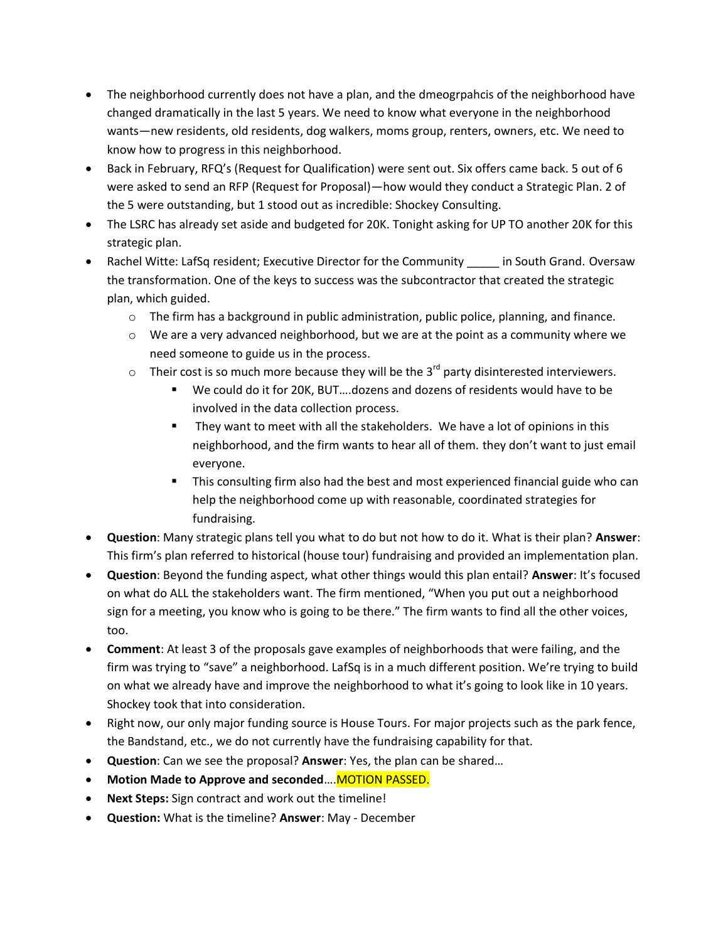- The neighborhood currently does not have a plan, and the dmeogrpahcis of the neighborhood have changed dramatically in the last 5 years. We need to know what everyone in the neighborhood wants—new residents, old residents, dog walkers, moms group, renters, owners, etc. We need to know how to progress in this neighborhood.
- Back in February, RFQ's (Request for Qualification) were sent out. Six offers came back. 5 out of 6 were asked to send an RFP (Request for Proposal)—how would they conduct a Strategic Plan. 2 of the 5 were outstanding, but 1 stood out as incredible: Shockey Consulting.
- The LSRC has already set aside and budgeted for 20K. Tonight asking for UP TO another 20K for this strategic plan.
- Rachel Witte: LafSq resident; Executive Director for the Community \_\_\_\_\_ in South Grand. Oversaw the transformation. One of the keys to success was the subcontractor that created the strategic plan, which guided.
	- $\circ$  The firm has a background in public administration, public police, planning, and finance.
	- $\circ$  We are a very advanced neighborhood, but we are at the point as a community where we need someone to guide us in the process.
	- $\circ$  Their cost is so much more because they will be the 3<sup>rd</sup> party disinterested interviewers.
		- We could do it for 20K, BUT….dozens and dozens of residents would have to be involved in the data collection process.
		- **They want to meet with all the stakeholders. We have a lot of opinions in this** neighborhood, and the firm wants to hear all of them. they don't want to just email everyone.
		- This consulting firm also had the best and most experienced financial guide who can help the neighborhood come up with reasonable, coordinated strategies for fundraising.
- **Question**: Many strategic plans tell you what to do but not how to do it. What is their plan? **Answer**: This firm's plan referred to historical (house tour) fundraising and provided an implementation plan.
- **Question**: Beyond the funding aspect, what other things would this plan entail? **Answer**: It's focused on what do ALL the stakeholders want. The firm mentioned, "When you put out a neighborhood sign for a meeting, you know who is going to be there." The firm wants to find all the other voices, too.
- **Comment**: At least 3 of the proposals gave examples of neighborhoods that were failing, and the firm was trying to "save" a neighborhood. LafSq is in a much different position. We're trying to build on what we already have and improve the neighborhood to what it's going to look like in 10 years. Shockey took that into consideration.
- Right now, our only major funding source is House Tours. For major projects such as the park fence, the Bandstand, etc., we do not currently have the fundraising capability for that.
- **Question**: Can we see the proposal? **Answer**: Yes, the plan can be shared…
- **Motion Made to Approve and seconded.... MOTION PASSED.**
- **Next Steps:** Sign contract and work out the timeline!
- **Question:** What is the timeline? **Answer**: May December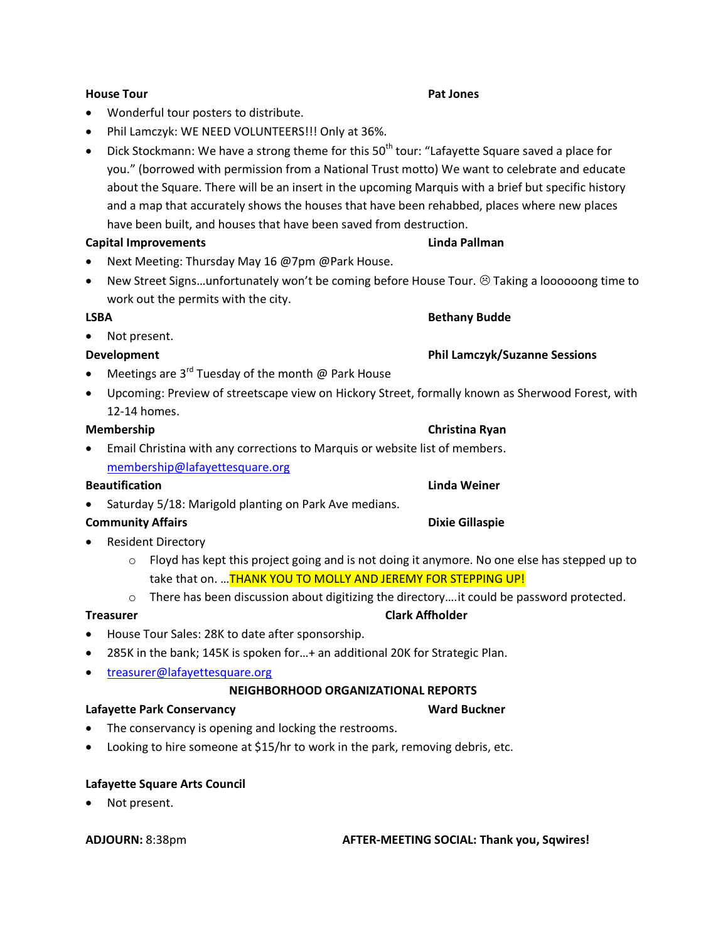# **House Tour Pat Jones**

- Wonderful tour posters to distribute.
- Phil Lamczyk: WE NEED VOLUNTEERS!!! Only at 36%.
- $\bullet$  Dick Stockmann: We have a strong theme for this 50<sup>th</sup> tour: "Lafayette Square saved a place for you." (borrowed with permission from a National Trust motto) We want to celebrate and educate about the Square. There will be an insert in the upcoming Marquis with a brief but specific history and a map that accurately shows the houses that have been rehabbed, places where new places have been built, and houses that have been saved from destruction.

## **Capital Improvements Linda Pallman**

- Next Meeting: Thursday May 16 @7pm @Park House.
- New Street Signs...unfortunately won't be coming before House Tour.  $\odot$  Taking a loooooong time to work out the permits with the city.

### **LSBA Bethany Budde**

• Not present.

- Meetings are 3<sup>rd</sup> Tuesday of the month @ Park House
- Upcoming: Preview of streetscape view on Hickory Street, formally known as Sherwood Forest, with 12-14 homes.

 Email Christina with any corrections to Marquis or website list of members. [membership@lafayettesquare.org](mailto:membership@lafayettesquare.org)

### **Beautification Linda Weiner**

Saturday 5/18: Marigold planting on Park Ave medians.

## **Community Affairs Community Affairs Community Affairs**

- Resident Directory
	- $\circ$  Floyd has kept this project going and is not doing it anymore. No one else has stepped up to take that on. ... THANK YOU TO MOLLY AND JEREMY FOR STEPPING UP!
	- o There has been discussion about digitizing the directory….it could be password protected.

- House Tour Sales: 28K to date after sponsorship.
- 285K in the bank; 145K is spoken for…+ an additional 20K for Strategic Plan.
- [treasurer@lafayettesquare.org](mailto:treasurer@lafayettesquare.org)

# **NEIGHBORHOOD ORGANIZATIONAL REPORTS**

# Lafayette Park Conservancy **Ward Buckner**

- The conservancy is opening and locking the restrooms.
- Looking to hire someone at \$15/hr to work in the park, removing debris, etc.

# **Lafayette Square Arts Council**

Not present.

# **ADJOURN:** 8:38pm **AFTER-MEETING SOCIAL: Thank you, Sqwires!**

## **Treasurer Clark Affholder**

## **Development Phil Lamczyk/Suzanne Sessions**

## **Membership Christina Ryan**